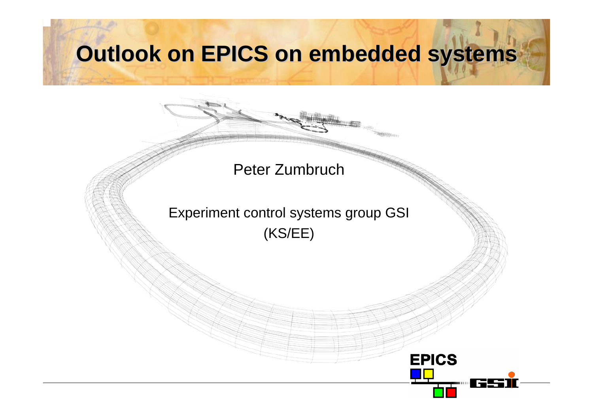### **Outlook on EPICS on embedded systems**

#### Peter Zumbruch

#### Experiment control systems group GSI (KS/EE)

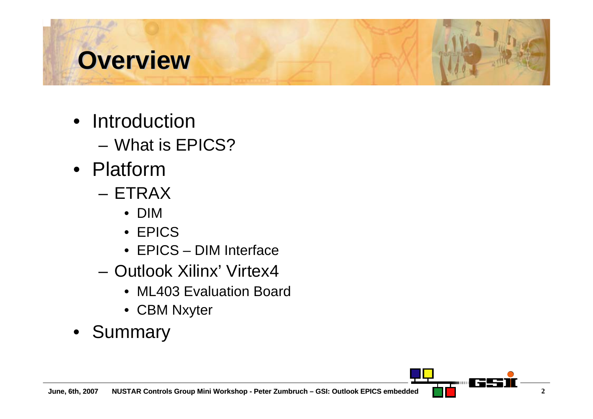## **Overview Overview**

- Introduction
	- What is EPICS?
- Platform
	- ETRAX
		- DIM
		- EPICS
		- EPICS DIM Interface
	- Outlook Xilinx' Virtex4
		- ML403 Evaluation Board
		- CBM Nxyter
- $\bullet$ Summary

GSI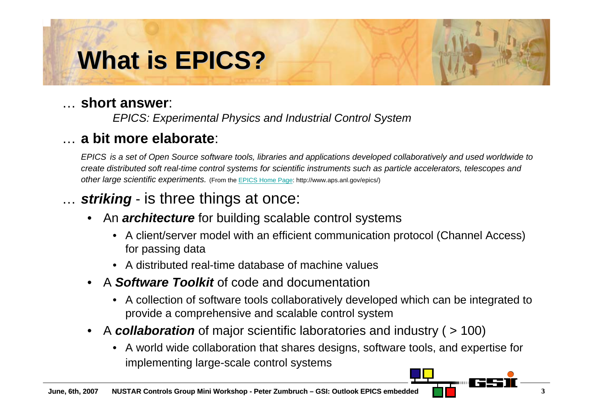## **What is EPICS? What is EPICS?**

#### …**short answer**:

*EPICS: Experimental Physics and Industrial Control System*

#### …**a bit more elaborate**:

*EPICS is a set of Open Source software tools, libraries and applications developed collaboratively and used worldwide to create distributed soft real-time control systems for scientific instruments such as particle accelerators, telescopes and other large scientific experiments.* (From the EPICS Home Page: http://www.aps.anl.gov/epics/)

#### …*striking* - is three things at once:

- • An *architecture* for building scalable control systems
	- A client/server model with an efficient communication protocol (Channel Access) for passing data
	- A distributed real-time database of machine values
- A *Software Toolkit* of code and documentation
	- A collection of software tools collaboratively developed which can be integrated to provide a comprehensive and scalable control system
- A *collaboration* of major scientific laboratories and industry ( > 100)
	- $\bullet$  A world wide collaboration that shares designs, software tools, and expertise for implementing large-scale control systems

GSI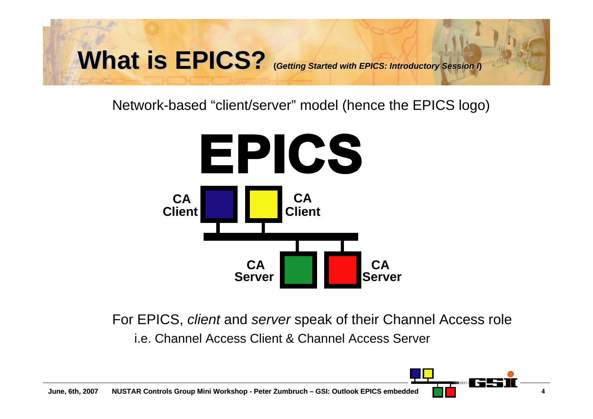## **What is EPICS?** (*Getting Started with EPICS: Introductory Session I*)

Network-based "client/server" model (hence the EPICS logo)



For EPICS, *client* and *server* speak of their Channel Access role i.e. Channel Access Client & Channel Access Server

**4**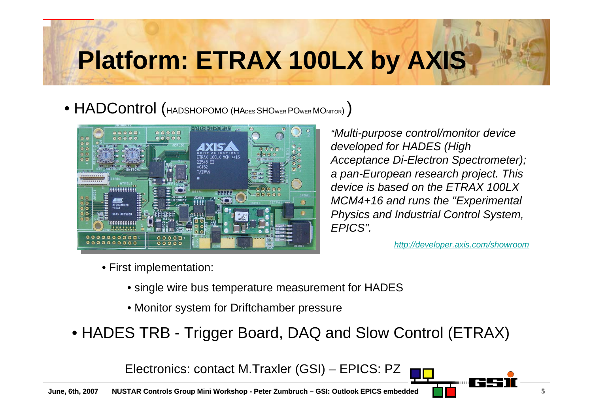# **Platform: ETRAX 100LX by AXIS**

 $\bullet$   ${\sf HADControl}$  (hadshopomo (hades ShOwer POwer MOnitor)  $)$ 



*"Multi-purpose control/monitor device developed for HADES (High Acceptance Di-Electron Spectrometer); a pan-European research project. This device is based on the ETRAX 100LX MCM4+16 and runs the "Experimental Physics and Industrial Control System, EPICS".* 

*http://developer.axis.com/showroom*

- First implementation:
	- single wire bus temperature measurement for HADES
	- Monitor system for Driftchamber pressure
- HADES TRB Trigger Board, DAQ and Slow Control (ETRAX)

Electronics: contact M.Traxler (GSI) – EPICS: PZ

GSI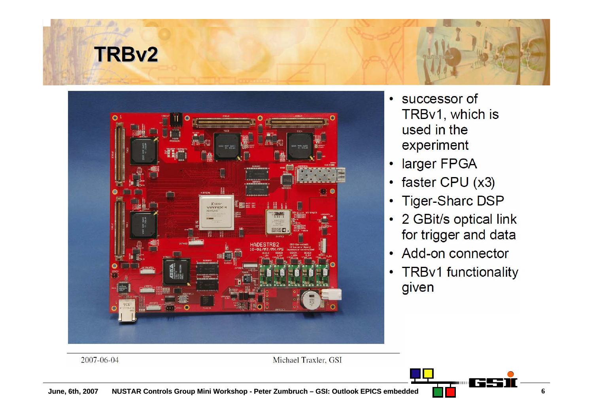### TRB<sub>v2</sub>



- successor of  $\bullet$ TRBv1, which is used in the experiment
- larger FPGA  $\bullet$
- faster CPU (x3)  $\bullet$
- **Tiger-Sharc DSP**  $\bullet$
- 2 GBit/s optical link  $\bullet$ for trigger and data
- Add-on connector  $\bullet$
- TRBv1 functionality  $\bullet$ given

2007-06-04

Michael Traxler, GSI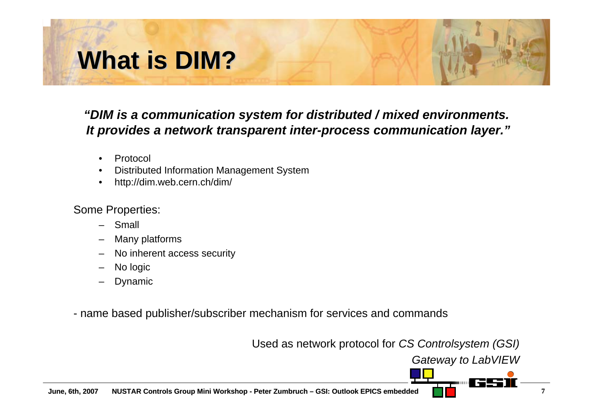## **What is DIM? What is DIM?**

*"DIM is a communication system for distributed / mixed environments. It provides a network transparent inter-process communication layer."*

- •Protocol
- •Distributed Information Management System
- •http://dim.web.cern.ch/dim/

Some Properties:

- Small
- Many platforms
- No inherent access security
- No logic
- –Dynamic

- name based publisher/subscriber mechanism for services and commands

Used as network protocol for *CS Controlsystem (GSI)*

GSI

*Gateway to LabVIEW*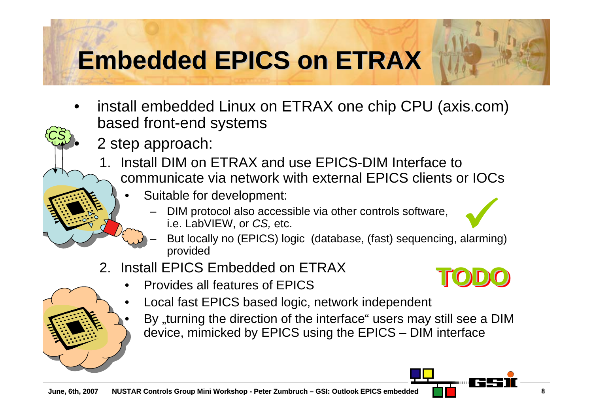# **Embedded EPICS on ETRAX Embedded EPICS on ETRAX**

- • install embedded Linux on ETRAX one chip CPU (axis.com) based front-end systems
	- 2 step approach:

•

•

•

*CS*

- 1. Install DIM on ETRAX and use EPICS-DIM Interface to communicate via network with external EPICS clients or IOCs
	- • Suitable for development:
		- – DIM protocol also accessible via other controls software, i.e. LabVIEW, or *CS,* etc.
		- – But locally no (EPICS) logic (database, (fast) sequencing, alarming) provided
- 2. Install EPICS Embedded on ETRAX
	- •Provides all features of EPICS
	- Local fast EPICS based logic, network independent
		- By "turning the direction of the interface" users may still see a DIM device, mimicked by EPICS using the EPICS – DIM interface



GSI

 $\sqrt{2}$ 

**TODO TODO**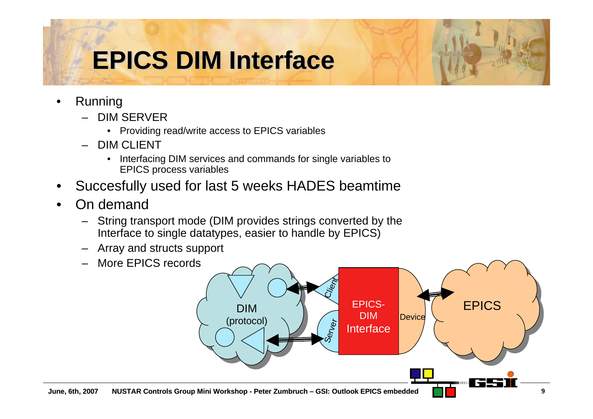# **EPICS DIM Interface EPICS DIM Interface**

- • Running
	- DIM SERVER
		- Providing read/write access to EPICS variables
	- DIM CLIENT
		- • Interfacing DIM services and commands for single variables to EPICS process variables
- •Succesfully used for last 5 weeks HADES beamtime
- • On demand
	- String transport mode (DIM provides strings converted by the Interface to single datatypes, easier to handle by EPICS)
	- Array and structs support
	- More EPICS records

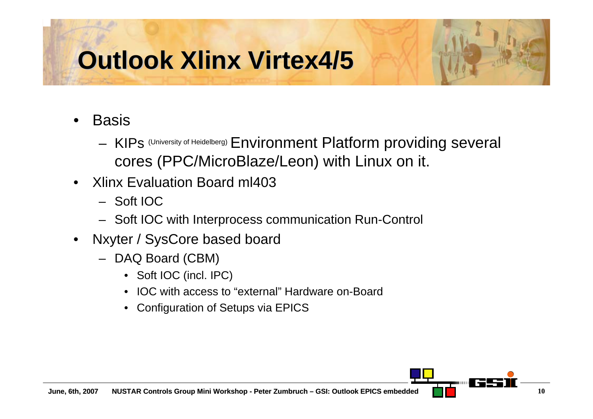## **Outlook Xlinx Virtex4/5**

#### •Basis

- KIPs (University of Heidelberg) Environment Platform providing several cores (PPC/MicroBlaze/Leon) with Linux on it.
- • Xlinx Evaluation Board ml403
	- Soft IOC
	- Soft IOC with Interprocess communication Run-Control
- • Nxyter / SysCore based board
	- DAQ Board (CBM)
		- Soft IOC (incl. IPC)
		- •IOC with access to "external" Hardware on-Board
		- •Configuration of Setups via EPICS



**10**